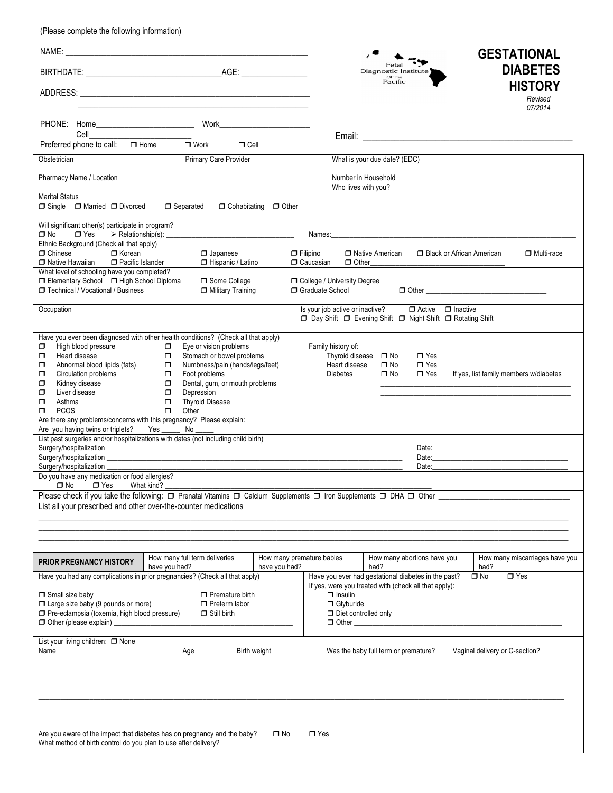(Please complete the following information)

| NAME:<br><u> 1989 - Johann Harry Harry Harry Harry Harry Harry Harry Harry Harry Harry Harry Harry Harry Harry Harry Harry</u>                                                                                                                                                                                                                                                                                                                                                                                                                   |                                                                                                                                                                    |                                            |                                                                           | Fetal<br>Diagnostic Institute<br>Of The<br>Pacific                                                                | <b>GESTATIONAL</b><br><b>DIABETES</b><br><b>HISTORY</b><br>Revised<br>07/2014                                                                                                                                                  |
|--------------------------------------------------------------------------------------------------------------------------------------------------------------------------------------------------------------------------------------------------------------------------------------------------------------------------------------------------------------------------------------------------------------------------------------------------------------------------------------------------------------------------------------------------|--------------------------------------------------------------------------------------------------------------------------------------------------------------------|--------------------------------------------|---------------------------------------------------------------------------|-------------------------------------------------------------------------------------------------------------------|--------------------------------------------------------------------------------------------------------------------------------------------------------------------------------------------------------------------------------|
|                                                                                                                                                                                                                                                                                                                                                                                                                                                                                                                                                  | Work___________________________<br>PHONE: Home__________________________<br>Cell <b>Cell Cell</b><br>Preferred phone to call: □ Home<br>$\Box$ Cell<br>$\Box$ Work |                                            |                                                                           |                                                                                                                   |                                                                                                                                                                                                                                |
| Obstetrician                                                                                                                                                                                                                                                                                                                                                                                                                                                                                                                                     | Primary Care Provider                                                                                                                                              |                                            | What is your due date? (EDC)                                              |                                                                                                                   |                                                                                                                                                                                                                                |
| Pharmacy Name / Location                                                                                                                                                                                                                                                                                                                                                                                                                                                                                                                         |                                                                                                                                                                    |                                            | Number in Household _____<br>Who lives with you?                          |                                                                                                                   |                                                                                                                                                                                                                                |
| <b>Marital Status</b><br>$\Box$ Single $\Box$ Married $\Box$ Divorced                                                                                                                                                                                                                                                                                                                                                                                                                                                                            | □ Separated                                                                                                                                                        | $\Box$ Cohabitating $\Box$ Other           |                                                                           |                                                                                                                   |                                                                                                                                                                                                                                |
| Will significant other(s) participate in program?<br>$\Box$ Yes $\triangleright$ Relationship(s):<br>□ No                                                                                                                                                                                                                                                                                                                                                                                                                                        |                                                                                                                                                                    | Names:                                     |                                                                           |                                                                                                                   |                                                                                                                                                                                                                                |
| Ethnic Background (Check all that apply)<br>$\Box$ Korean<br>$\Box$ Chinese<br>Pacific Islander<br>□ Native Hawaiian                                                                                                                                                                                                                                                                                                                                                                                                                             | $\Box$ Japanese<br>Hispanic / Latino                                                                                                                               | $\Box$ Filipino<br><b>O</b> Caucasian      | □ Native American<br>$\Box$ Other                                         | □ Black or African American                                                                                       | □ Multi-race                                                                                                                                                                                                                   |
| What level of schooling have you completed?<br>□ Elementary School □ High School Diploma<br>□ Technical / Vocational / Business                                                                                                                                                                                                                                                                                                                                                                                                                  | Some College<br>Military Training                                                                                                                                  | Graduate School                            | <b>O</b> College / University Degree                                      |                                                                                                                   |                                                                                                                                                                                                                                |
| Occupation                                                                                                                                                                                                                                                                                                                                                                                                                                                                                                                                       |                                                                                                                                                                    |                                            |                                                                           | Is your job active or inactive? □ Active □ Inactive<br>□ Day Shift □ Evening Shift □ Night Shift □ Rotating Shift |                                                                                                                                                                                                                                |
| Have you ever been diagnosed with other health conditions? (Check all that apply)<br>High blood pressure<br>Eye or vision problems<br>σ<br>σ.<br>Stomach or bowel problems<br>Heart disease<br>σ<br>$\Box$<br>Numbness/pain (hands/legs/feet)<br>Abnormal blood lipids (fats)<br>$\Box$<br>σ<br>Circulation problems<br>Foot problems<br>σ<br>□<br>Kidney disease<br>Dental, gum, or mouth problems<br>σ<br>σ<br>σ<br>Liver disease<br>σ<br>Depression<br>σ<br>Asthma<br>$\Box$<br><b>Thyroid Disease</b><br>$\Box$<br>σ<br><b>PCOS</b><br>Other |                                                                                                                                                                    |                                            | Family history of:<br>Thyroid disease<br>Heart disease<br><b>Diabetes</b> | $\Box$ Yes<br>$\square$ No<br>$\Box$ Yes<br>$\Box$ No<br>$\Box$ Yes<br>$\square$ No                               | If yes, list family members w/diabetes                                                                                                                                                                                         |
| Are you having twins or triplets?<br>List past surgeries and/or hospitalizations with dates (not including child birth)                                                                                                                                                                                                                                                                                                                                                                                                                          | No                                                                                                                                                                 |                                            |                                                                           |                                                                                                                   | Date: Note: The Contract of the Contract of the Contract of the Contract of the Contract of the Contract of the Contract of the Contract of the Contract of the Contract of the Contract of the Contract of the Contract of th |
| Surgery/hospitalization<br>Do you have any medication or food allergies?<br>$\square$ No<br>$\Box$ Yes                                                                                                                                                                                                                                                                                                                                                                                                                                           | What kind?                                                                                                                                                         |                                            |                                                                           | Date:                                                                                                             |                                                                                                                                                                                                                                |
| List all your prescribed and other over-the-counter medications                                                                                                                                                                                                                                                                                                                                                                                                                                                                                  | Please check if you take the following: □ Prenatal Vitamins □ Calcium Supplements □ Iron Supplements □ DHA □ Other                                                 |                                            |                                                                           |                                                                                                                   |                                                                                                                                                                                                                                |
| <b>PRIOR PREGNANCY HISTORY</b>                                                                                                                                                                                                                                                                                                                                                                                                                                                                                                                   | How many full term deliveries<br>have you had?                                                                                                                     | How many premature babies<br>have you had? | had?                                                                      | How many abortions have you                                                                                       | How many miscarriages have you<br>had?                                                                                                                                                                                         |
| Have you ever had gestational diabetes in the past?<br>$\Box$ Yes<br>Have you had any complications in prior pregnancies? (Check all that apply)<br>$\Box$ No<br>If yes, were you treated with (check all that apply):<br>Small size baby<br>$\Box$ Premature birth<br>$\Box$ Insulin<br>$\Box$ Large size baby (9 pounds or more)<br>$\Box$ Preterm labor<br><b>O</b> Glyburide<br>Pre-eclampsia (toxemia, high blood pressure)<br>$\Box$ Still birth<br>Diet controlled only<br>□ Other (please explain)<br>$\Box$ Other $\Box$                |                                                                                                                                                                    |                                            |                                                                           |                                                                                                                   |                                                                                                                                                                                                                                |
| List your living children: [ None<br>Name                                                                                                                                                                                                                                                                                                                                                                                                                                                                                                        | Age                                                                                                                                                                | Birth weight                               | Was the baby full term or premature?                                      |                                                                                                                   | Vaginal delivery or C-section?                                                                                                                                                                                                 |
|                                                                                                                                                                                                                                                                                                                                                                                                                                                                                                                                                  |                                                                                                                                                                    |                                            |                                                                           |                                                                                                                   |                                                                                                                                                                                                                                |
| What method of birth control do you plan to use after delivery?                                                                                                                                                                                                                                                                                                                                                                                                                                                                                  | Are you aware of the impact that diabetes has on pregnancy and the baby?                                                                                           | $\Box$ No<br>$\Box$ Yes                    |                                                                           |                                                                                                                   |                                                                                                                                                                                                                                |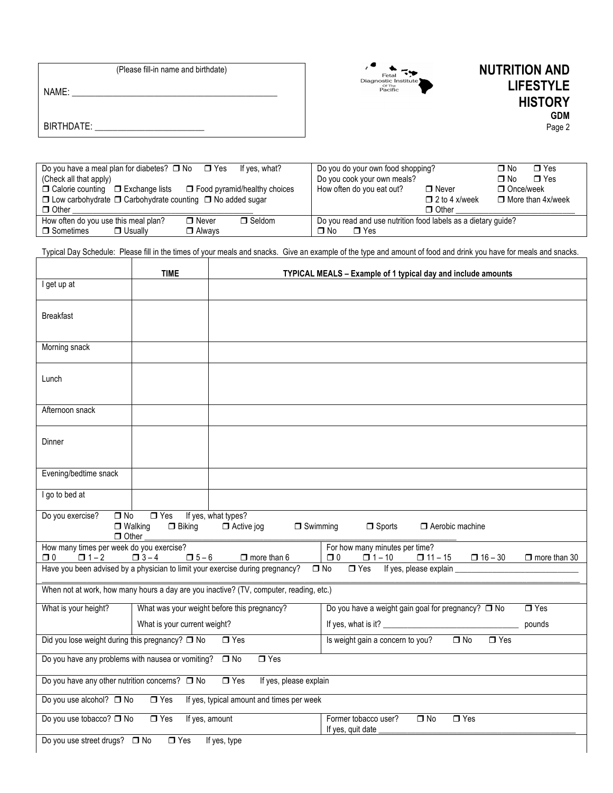| (Please fill-in name and birthdate) |  |  |
|-------------------------------------|--|--|
| NAME:                               |  |  |
|                                     |  |  |
| BIRTHDATE:                          |  |  |
|                                     |  |  |

 $\overline{\phantom{a}}$ 



## **NUTRITION AND LIFESTYLE HISTORY GDM** Page 2

| Do you have a meal plan for diabetes? $\Box$ No $\Box$ Yes<br>(Check all that apply)                                                                               |               | lf ves. what? | Do you do your own food shopping?<br>Do you cook your own meals?  |              | $\Box$ Yes<br>∩ No<br>$\blacksquare$ Yes<br>O No |
|--------------------------------------------------------------------------------------------------------------------------------------------------------------------|---------------|---------------|-------------------------------------------------------------------|--------------|--------------------------------------------------|
| $\Box$ Food pyramid/healthy choices<br>$\Box$ Calorie counting $\Box$ Exchange lists<br>$\Box$ Low carbohydrate $\Box$ Carbohydrate counting $\Box$ No added sugar |               |               | How often do you eat out?<br>$\Box$ Never<br>$\Box$ 2 to 4 x/week |              | $\Box$ Once/week<br>$\Box$ More than 4x/week     |
| $\Box$ Other                                                                                                                                                       |               |               |                                                                   | $\Box$ Other |                                                  |
| How often do you use this meal plan?                                                                                                                               | $\Box$ Never  | $\Box$ Seldom | Do you read and use nutrition food labels as a dietary quide?     |              |                                                  |
| □ Sometimes<br>$\Box$ Usually                                                                                                                                      | $\Box$ Always |               | $\Box$ Yes<br>No T                                                |              |                                                  |

Typical Day Schedule: Please fill in the times of your meals and snacks. Give an example of the type and amount of food and drink you have for meals and snacks.

|                                                                                                                                    | <b>TIME</b>                                                                                                                      |                                                                                        | TYPICAL MEALS - Example of 1 typical day and include amounts                                    |                     |  |  |
|------------------------------------------------------------------------------------------------------------------------------------|----------------------------------------------------------------------------------------------------------------------------------|----------------------------------------------------------------------------------------|-------------------------------------------------------------------------------------------------|---------------------|--|--|
| I get up at                                                                                                                        |                                                                                                                                  |                                                                                        |                                                                                                 |                     |  |  |
| <b>Breakfast</b>                                                                                                                   |                                                                                                                                  |                                                                                        |                                                                                                 |                     |  |  |
| Morning snack                                                                                                                      |                                                                                                                                  |                                                                                        |                                                                                                 |                     |  |  |
| Lunch                                                                                                                              |                                                                                                                                  |                                                                                        |                                                                                                 |                     |  |  |
| Afternoon snack                                                                                                                    |                                                                                                                                  |                                                                                        |                                                                                                 |                     |  |  |
| Dinner                                                                                                                             |                                                                                                                                  |                                                                                        |                                                                                                 |                     |  |  |
| Evening/bedtime snack                                                                                                              |                                                                                                                                  |                                                                                        |                                                                                                 |                     |  |  |
| I go to bed at                                                                                                                     |                                                                                                                                  |                                                                                        |                                                                                                 |                     |  |  |
| Do you exercise?<br>$\Box$ No<br>$\Box$ Other                                                                                      | $\Box$ Yes<br>$\Box$ Walking<br>$\Box$ Biking                                                                                    | If yes, what types?<br>$\Box$ Active jog<br>$\Box$ Swimming                            | $\Box$ Sports<br>$\Box$ Aerobic machine                                                         |                     |  |  |
| How many times per week do you exercise?<br>□ 0<br>$\Box$ 1 – 2                                                                    | $\Box$ 5 – 6<br>$\Box$ 3 – 4                                                                                                     | $\Box$ more than 6                                                                     | For how many minutes per time?<br>$\Box$ 0<br>$\Box$ 11 – 15<br>$\Box$ 1 – 10<br>$\Box$ 16 – 30 | $\Box$ more than 30 |  |  |
| Have you been advised by a physician to limit your exercise during pregnancy?<br>If yes, please explain<br>$\Box$ No<br>$\Box$ Yes |                                                                                                                                  |                                                                                        |                                                                                                 |                     |  |  |
|                                                                                                                                    |                                                                                                                                  | When not at work, how many hours a day are you inactive? (TV, computer, reading, etc.) |                                                                                                 |                     |  |  |
| What is your height?                                                                                                               |                                                                                                                                  | What was your weight before this pregnancy?                                            | Do you have a weight gain goal for pregnancy? $\Box$ No                                         | $\Box$ Yes          |  |  |
| What is your current weight?                                                                                                       |                                                                                                                                  |                                                                                        |                                                                                                 | pounds              |  |  |
| Did you lose weight during this pregnancy? $\Box$ No<br>$\Box$ Yes<br>Is weight gain a concern to you?<br>$\Box$ Yes<br>$\Box$ No  |                                                                                                                                  |                                                                                        |                                                                                                 |                     |  |  |
| Do you have any problems with nausea or vomiting? □ No<br>$\Box$ Yes                                                               |                                                                                                                                  |                                                                                        |                                                                                                 |                     |  |  |
| Do you have any other nutrition concerns? $\Box$ No                                                                                |                                                                                                                                  | $\Box$ Yes<br>If yes, please explain                                                   |                                                                                                 |                     |  |  |
| Do you use alcohol? □ No<br>$\Box$ Yes<br>If yes, typical amount and times per week                                                |                                                                                                                                  |                                                                                        |                                                                                                 |                     |  |  |
|                                                                                                                                    | Do you use tobacco? □ No<br>$\Box$ Yes<br>If yes, amount<br>Former tobacco user?<br>$\Box$ No<br>$\Box$ Yes<br>If yes, quit date |                                                                                        |                                                                                                 |                     |  |  |
| Do you use street drugs? □ No<br>$\Box$ Yes<br>If yes, type                                                                        |                                                                                                                                  |                                                                                        |                                                                                                 |                     |  |  |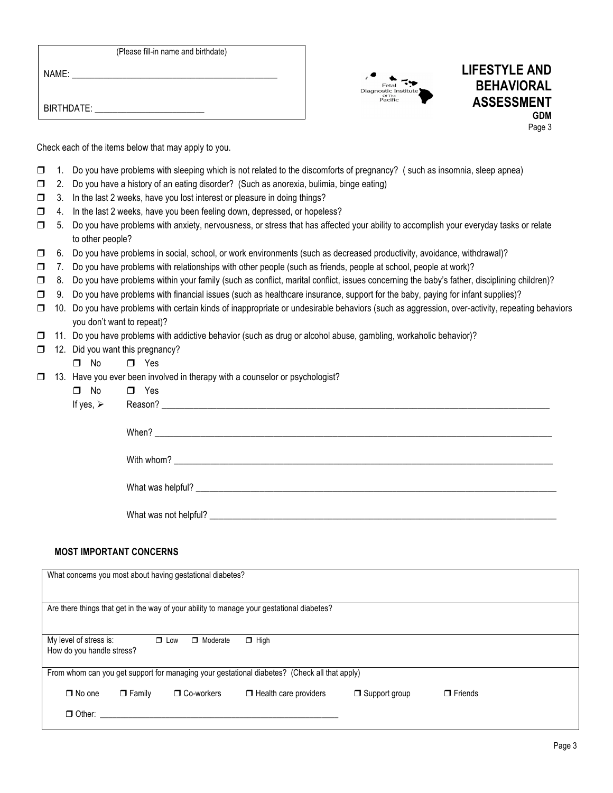| (Please fill-in name and birthdate) |  |  |  |  |  |
|-------------------------------------|--|--|--|--|--|
|-------------------------------------|--|--|--|--|--|

 $NAME:$ 

BIRTHDATE:



## **LIFESTYLE AND BEHAVIORAL ASSESSMENT GDM** Page 3

Check each of the items below that may apply to you.

- $\Box$  1. Do you have problems with sleeping which is not related to the discomforts of pregnancy? (such as insomnia, sleep apnea)
- $\Box$  2. Do you have a history of an eating disorder? (Such as anorexia, bulimia, binge eating)
- $\Box$  3. In the last 2 weeks, have you lost interest or pleasure in doing things?
- $\Box$  4. In the last 2 weeks, have you been feeling down, depressed, or hopeless?
- ! 5. Do you have problems with anxiety, nervousness, or stress that has affected your ability to accomplish your everyday tasks or relate to other people?
- $\Box$  6. Do you have problems in social, school, or work environments (such as decreased productivity, avoidance, withdrawal)?
- $\Box$  7. Do you have problems with relationships with other people (such as friends, people at school, people at work)?
- □ 8. Do you have problems within your family (such as conflict, marital conflict, issues concerning the baby's father, disciplining children)?
- $\Box$  9. Do you have problems with financial issues (such as healthcare insurance, support for the baby, paying for infant supplies)?
- □ 10. Do you have problems with certain kinds of inappropriate or undesirable behaviors (such as aggression, over-activity, repeating behaviors you don't want to repeat)?
- $\Box$  11. Do you have problems with addictive behavior (such as drug or alcohol abuse, gambling, workaholic behavior)?
- $\Box$  12. Did you want this pregnancy?
	- $\Box$  No  $\Box$  Yes
- $\Box$  13. Have you ever been involved in therapy with a counselor or psychologist?

| $\Box$ No<br>If yes, $\triangleright$ | $\Box$ Yes                                                                                                               |
|---------------------------------------|--------------------------------------------------------------------------------------------------------------------------|
|                                       |                                                                                                                          |
|                                       |                                                                                                                          |
|                                       | What was helpful?                                                                                                        |
|                                       |                                                                                                                          |
|                                       | What was not helpful? <u>example and the contract of the contract of the contract of the contract of the contract of</u> |

## **MOST IMPORTANT CONCERNS**

| What concerns you most about having gestational diabetes?                                           |               |                   |                              |                      |                |  |
|-----------------------------------------------------------------------------------------------------|---------------|-------------------|------------------------------|----------------------|----------------|--|
| Are there things that get in the way of your ability to manage your gestational diabetes?           |               |                   |                              |                      |                |  |
| My level of stress is:<br>$\Box$ Low<br>$\Box$ High<br>$\Box$ Moderate<br>How do you handle stress? |               |                   |                              |                      |                |  |
| From whom can you get support for managing your gestational diabetes? (Check all that apply)        |               |                   |                              |                      |                |  |
| $\Box$ No one                                                                                       | $\Box$ Family | $\Box$ Co-workers | $\Box$ Health care providers | $\Box$ Support group | $\Box$ Friends |  |
| $\Box$ Other:                                                                                       |               |                   |                              |                      |                |  |